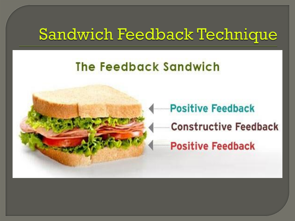## **Sandwich Feedback Technique**

#### The Feedback Sandwich



# **Positive Feedback Constructive Feedback Positive Feedback**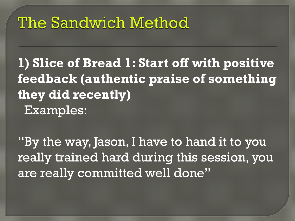# The Sandwich Method

**1) Slice of Bread 1: Start off with positive feedback (authentic praise of something they did recently)** Examples:

"By the way, Jason, I have to hand it to you really trained hard during this session, you are really committed well done"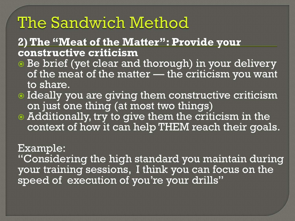## The Sandwich Method

#### **2) The "Meat of the Matter": Provide your constructive criticism**

- **Be brief (yet clear and thorough) in your delivery** of the meat of the matter — the criticism you want to share.
- $\bullet$  Ideally you are giving them constructive criticism on just one thing (at most two things)
- Additionally, try to give them the criticism in the context of how it can help THEM reach their goals.

#### Example:

"Considering the high standard you maintain during your training sessions, I think you can focus on the speed of execution of you're your drills"